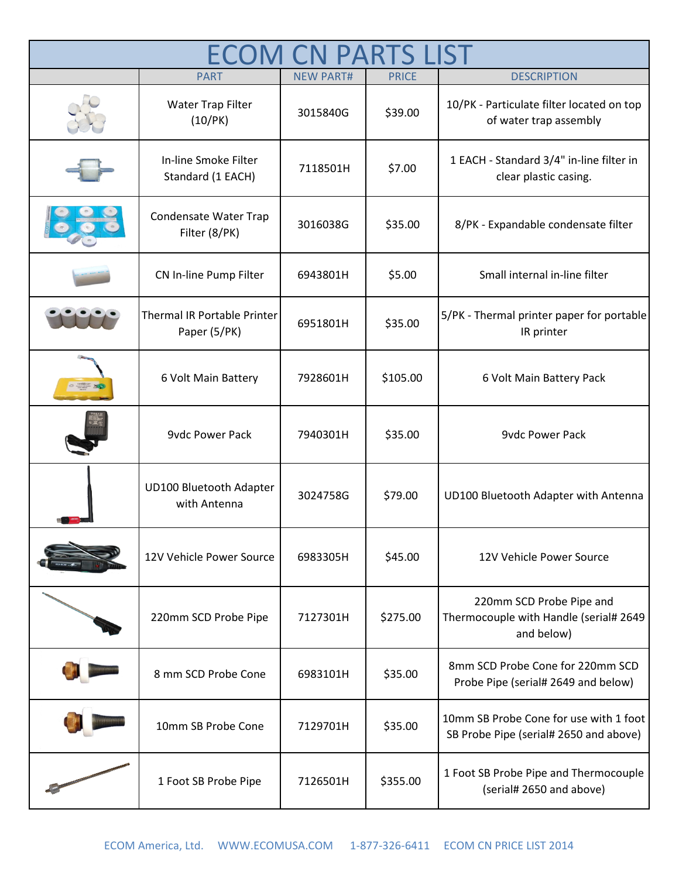|  | <b>PART</b>                                    | <b>NEW PART#</b> | <b>PRICE</b> | <b>DESCRIPTION</b>                                                               |
|--|------------------------------------------------|------------------|--------------|----------------------------------------------------------------------------------|
|  | Water Trap Filter<br>(10/PK)                   | 3015840G         | \$39.00      | 10/PK - Particulate filter located on top<br>of water trap assembly              |
|  | In-line Smoke Filter<br>Standard (1 EACH)      | 7118501H         | \$7.00       | 1 EACH - Standard 3/4" in-line filter in<br>clear plastic casing.                |
|  | Condensate Water Trap<br>Filter (8/PK)         | 3016038G         | \$35.00      | 8/PK - Expandable condensate filter                                              |
|  | CN In-line Pump Filter                         | 6943801H         | \$5.00       | Small internal in-line filter                                                    |
|  | Thermal IR Portable Printer<br>Paper (5/PK)    | 6951801H         | \$35.00      | 5/PK - Thermal printer paper for portable<br>IR printer                          |
|  | 6 Volt Main Battery                            | 7928601H         | \$105.00     | 6 Volt Main Battery Pack                                                         |
|  | <b>9vdc Power Pack</b>                         | 7940301H         | \$35.00      | <b>9vdc Power Pack</b>                                                           |
|  | <b>UD100 Bluetooth Adapter</b><br>with Antenna | 3024758G         | \$79.00      | UD100 Bluetooth Adapter with Antenna                                             |
|  | 12V Vehicle Power Source                       | 6983305H         | \$45.00      | 12V Vehicle Power Source                                                         |
|  | 220mm SCD Probe Pipe                           | 7127301H         | \$275.00     | 220mm SCD Probe Pipe and<br>Thermocouple with Handle (serial# 2649<br>and below) |
|  | 8 mm SCD Probe Cone                            | 6983101H         | \$35.00      | 8mm SCD Probe Cone for 220mm SCD<br>Probe Pipe (serial# 2649 and below)          |
|  | 10mm SB Probe Cone                             | 7129701H         | \$35.00      | 10mm SB Probe Cone for use with 1 foot<br>SB Probe Pipe (serial# 2650 and above) |
|  | 1 Foot SB Probe Pipe                           | 7126501H         | \$355.00     | 1 Foot SB Probe Pipe and Thermocouple<br>(serial# 2650 and above)                |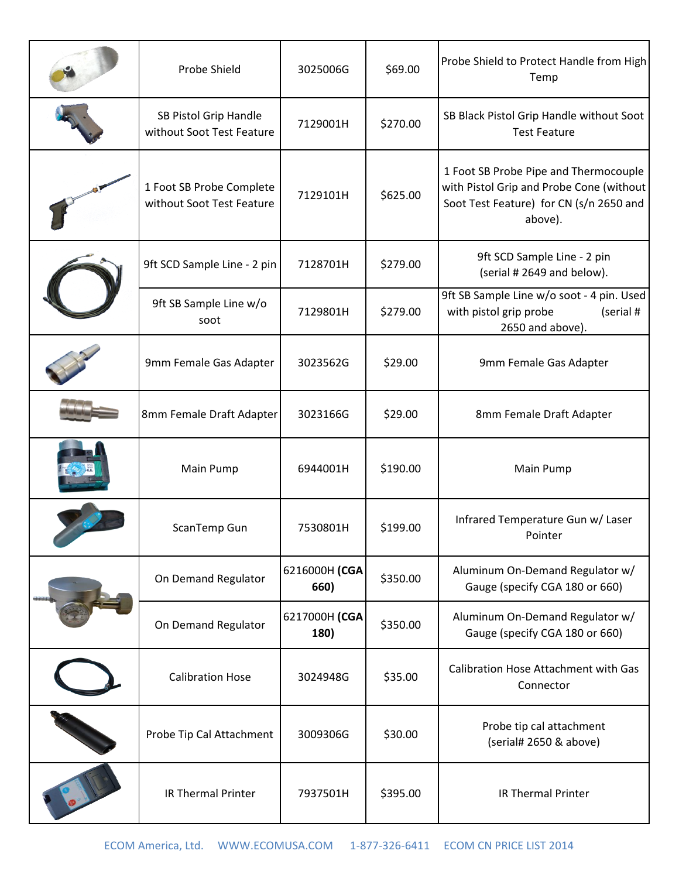| Probe Shield                                          | 3025006G              | \$69.00  | Probe Shield to Protect Handle from High<br>Temp                                                                                        |
|-------------------------------------------------------|-----------------------|----------|-----------------------------------------------------------------------------------------------------------------------------------------|
| SB Pistol Grip Handle<br>without Soot Test Feature    | 7129001H              | \$270.00 | SB Black Pistol Grip Handle without Soot<br><b>Test Feature</b>                                                                         |
| 1 Foot SB Probe Complete<br>without Soot Test Feature | 7129101H              | \$625.00 | 1 Foot SB Probe Pipe and Thermocouple<br>with Pistol Grip and Probe Cone (without<br>Soot Test Feature) for CN (s/n 2650 and<br>above). |
| 9ft SCD Sample Line - 2 pin                           | 7128701H              | \$279.00 | 9ft SCD Sample Line - 2 pin<br>(serial # 2649 and below).                                                                               |
| 9ft SB Sample Line w/o<br>soot                        | 7129801H              | \$279.00 | 9ft SB Sample Line w/o soot - 4 pin. Used<br>with pistol grip probe<br>(serial #<br>2650 and above).                                    |
| 9mm Female Gas Adapter                                | 3023562G              | \$29.00  | 9mm Female Gas Adapter                                                                                                                  |
| 8mm Female Draft Adapter                              | 3023166G              | \$29.00  | 8mm Female Draft Adapter                                                                                                                |
| Main Pump                                             | 6944001H              | \$190.00 | Main Pump                                                                                                                               |
| ScanTemp Gun                                          | 7530801H              | \$199.00 | Infrared Temperature Gun w/ Laser<br>Pointer                                                                                            |
| On Demand Regulator                                   | 6216000H (CGA<br>660) | \$350.00 | Aluminum On-Demand Regulator w/<br>Gauge (specify CGA 180 or 660)                                                                       |
| On Demand Regulator                                   | 6217000H (CGA<br>180) | \$350.00 | Aluminum On-Demand Regulator w/<br>Gauge (specify CGA 180 or 660)                                                                       |
| <b>Calibration Hose</b>                               | 3024948G              | \$35.00  | Calibration Hose Attachment with Gas<br>Connector                                                                                       |
| Probe Tip Cal Attachment                              | 3009306G              | \$30.00  | Probe tip cal attachment<br>(serial# 2650 & above)                                                                                      |
| <b>IR Thermal Printer</b>                             | 7937501H              | \$395.00 | <b>IR Thermal Printer</b>                                                                                                               |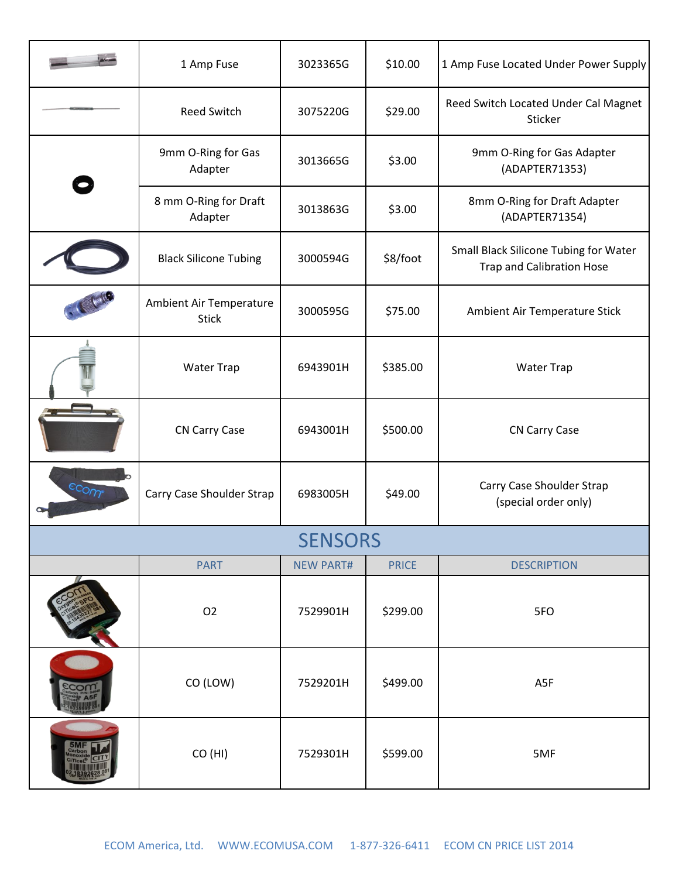|                | 1 Amp Fuse                              | 3023365G         | \$10.00      | 1 Amp Fuse Located Under Power Supply                                     |
|----------------|-----------------------------------------|------------------|--------------|---------------------------------------------------------------------------|
|                | <b>Reed Switch</b>                      | 3075220G         | \$29.00      | Reed Switch Located Under Cal Magnet<br>Sticker                           |
|                | 9mm O-Ring for Gas<br>Adapter           | 3013665G         | \$3.00       | 9mm O-Ring for Gas Adapter<br>(ADAPTER71353)                              |
|                | 8 mm O-Ring for Draft<br>Adapter        | 3013863G         | \$3.00       | 8mm O-Ring for Draft Adapter<br>(ADAPTER71354)                            |
|                | <b>Black Silicone Tubing</b>            | 3000594G         | \$8/foot     | Small Black Silicone Tubing for Water<br><b>Trap and Calibration Hose</b> |
|                | Ambient Air Temperature<br><b>Stick</b> | 3000595G         | \$75.00      | Ambient Air Temperature Stick                                             |
|                | <b>Water Trap</b>                       | 6943901H         | \$385.00     | <b>Water Trap</b>                                                         |
|                | <b>CN Carry Case</b>                    | 6943001H         | \$500.00     | <b>CN Carry Case</b>                                                      |
| scom           | Carry Case Shoulder Strap               | 6983005H         | \$49.00      | Carry Case Shoulder Strap<br>(special order only)                         |
| <b>SENSORS</b> |                                         |                  |              |                                                                           |
|                | <b>PART</b>                             | <b>NEW PART#</b> | <b>PRICE</b> | <b>DESCRIPTION</b>                                                        |
|                | O <sub>2</sub>                          | 7529901H         | \$299.00     | 5FO                                                                       |
|                | CO (LOW)                                | 7529201H         | \$499.00     | A5F                                                                       |
|                | CO (HI)                                 | 7529301H         | \$599.00     | 5MF                                                                       |